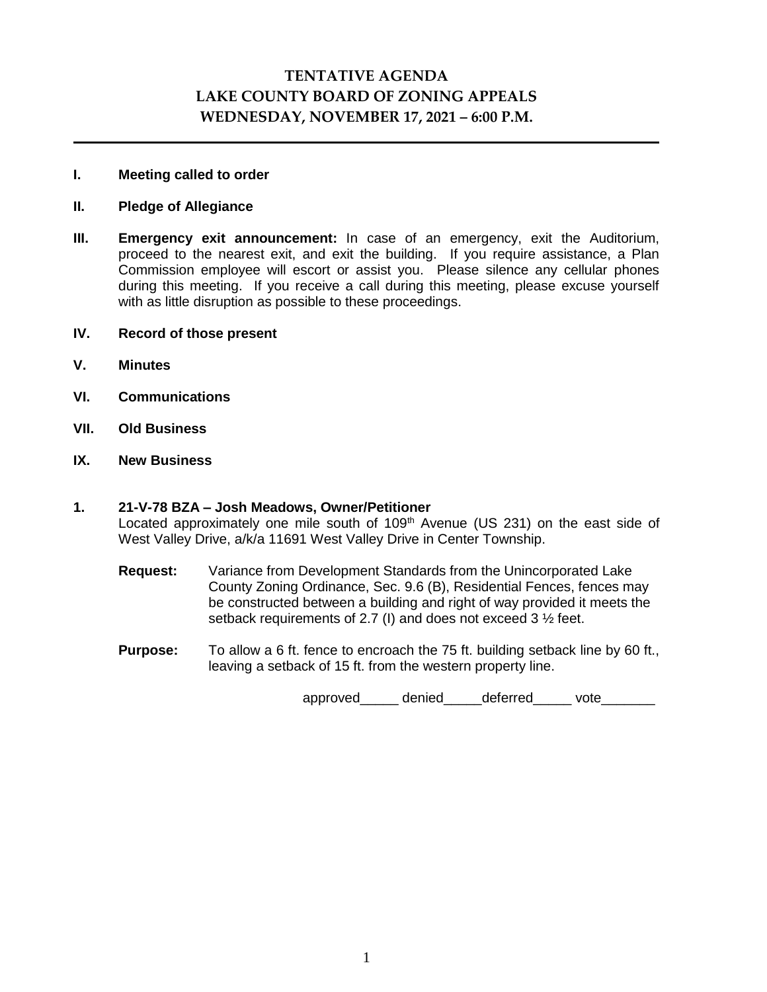# **TENTATIVE AGENDA LAKE COUNTY BOARD OF ZONING APPEALS WEDNESDAY, NOVEMBER 17, 2021 – 6:00 P.M.**

### **I. Meeting called to order**

### **II. Pledge of Allegiance**

**III. Emergency exit announcement:** In case of an emergency, exit the Auditorium, proceed to the nearest exit, and exit the building. If you require assistance, a Plan Commission employee will escort or assist you. Please silence any cellular phones during this meeting. If you receive a call during this meeting, please excuse yourself with as little disruption as possible to these proceedings.

## **IV. Record of those present**

- **V. Minutes**
- **VI. Communications**
- **VII. Old Business**
- **IX. New Business**

## **1. 21-V-78 BZA – Josh Meadows, Owner/Petitioner**

Located approximately one mile south of  $109<sup>th</sup>$  Avenue (US 231) on the east side of West Valley Drive, a/k/a 11691 West Valley Drive in Center Township.

**Request:** Variance from Development Standards from the Unincorporated Lake County Zoning Ordinance, Sec. 9.6 (B), Residential Fences, fences may be constructed between a building and right of way provided it meets the setback requirements of 2.7 (I) and does not exceed 3 ½ feet.

**Purpose:** To allow a 6 ft. fence to encroach the 75 ft. building setback line by 60 ft., leaving a setback of 15 ft. from the western property line.

approved denied deferred vote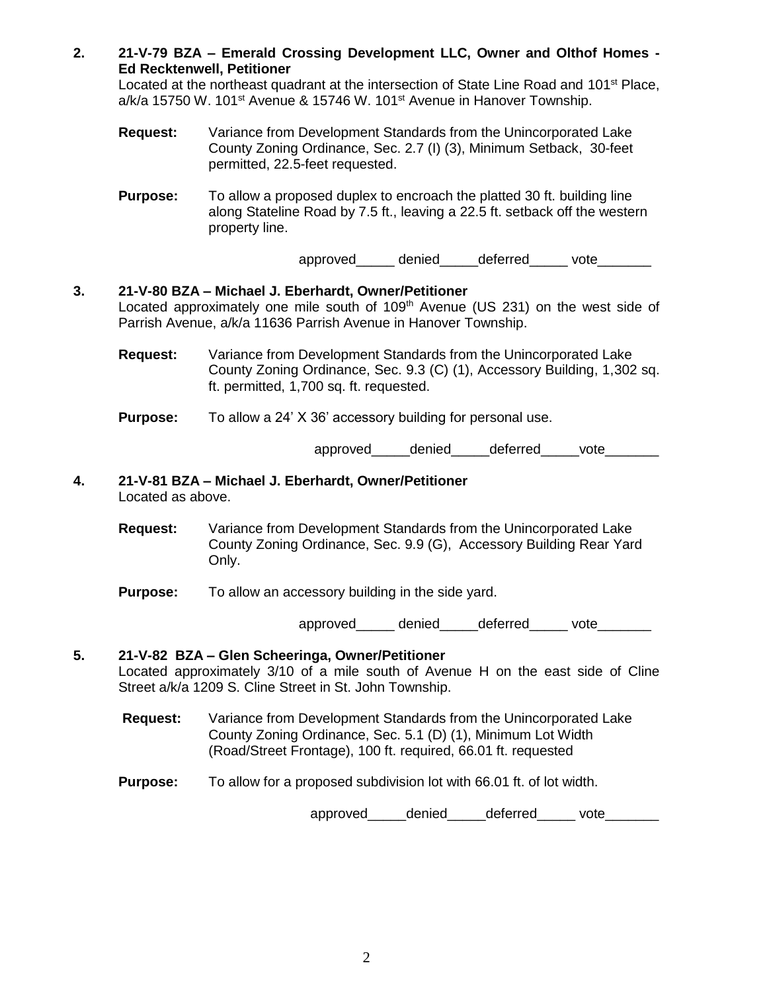**2. 21-V-79 BZA – Emerald Crossing Development LLC, Owner and Olthof Homes - Ed Recktenwell, Petitioner**

Located at the northeast quadrant at the intersection of State Line Road and 101<sup>st</sup> Place, a/k/a 15750 W. 101<sup>st</sup> Avenue & 15746 W. 101<sup>st</sup> Avenue in Hanover Township.

- **Request:** Variance from Development Standards from the Unincorporated Lake County Zoning Ordinance, Sec. 2.7 (I) (3), Minimum Setback, 30-feet permitted, 22.5-feet requested.
- **Purpose:** To allow a proposed duplex to encroach the platted 30 ft. building line along Stateline Road by 7.5 ft., leaving a 22.5 ft. setback off the western property line.

approved denied deferred vote

# **3. 21-V-80 BZA – Michael J. Eberhardt, Owner/Petitioner** Located approximately one mile south of 109<sup>th</sup> Avenue (US 231) on the west side of Parrish Avenue, a/k/a 11636 Parrish Avenue in Hanover Township.

- **Request:** Variance from Development Standards from the Unincorporated Lake County Zoning Ordinance, Sec. 9.3 (C) (1), Accessory Building, 1,302 sq. ft. permitted, 1,700 sq. ft. requested.
- **Purpose:** To allow a 24' X 36' accessory building for personal use.

approved denied deferred vote

- **4. 21-V-81 BZA – Michael J. Eberhardt, Owner/Petitioner** Located as above.
	- **Request:** Variance from Development Standards from the Unincorporated Lake County Zoning Ordinance, Sec. 9.9 (G), Accessory Building Rear Yard Only.
	- **Purpose:** To allow an accessory building in the side yard.

approved denied deferred vote

# **5. 21-V-82 BZA – Glen Scheeringa, Owner/Petitioner** Located approximately 3/10 of a mile south of Avenue H on the east side of Cline Street a/k/a 1209 S. Cline Street in St. John Township.

- **Request:** Variance from Development Standards from the Unincorporated Lake County Zoning Ordinance, Sec. 5.1 (D) (1), Minimum Lot Width (Road/Street Frontage), 100 ft. required, 66.01 ft. requested
- **Purpose:** To allow for a proposed subdivision lot with 66.01 ft. of lot width.

approved denied deferred vote